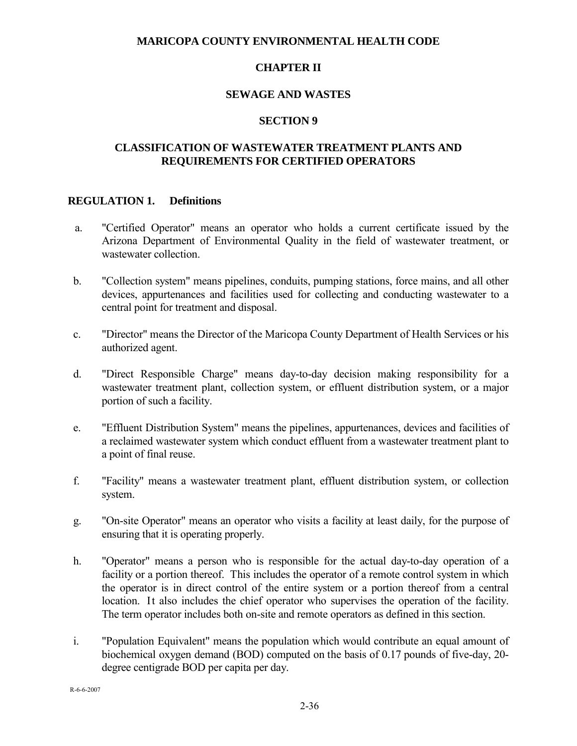### **MARICOPA COUNTY ENVIRONMENTAL HEALTH CODE**

## **CHAPTER II**

### **SEWAGE AND WASTES**

### **SECTION 9**

## **CLASSIFICATION OF WASTEWATER TREATMENT PLANTS AND REQUIREMENTS FOR CERTIFIED OPERATORS**

#### **REGULATION 1. Definitions**

- a. "Certified Operator" means an operator who holds a current certificate issued by the Arizona Department of Environmental Quality in the field of wastewater treatment, or wastewater collection.
- b. "Collection system" means pipelines, conduits, pumping stations, force mains, and all other devices, appurtenances and facilities used for collecting and conducting wastewater to a central point for treatment and disposal.
- c. "Director" means the Director of the Maricopa County Department of Health Services or his authorized agent.
- d. "Direct Responsible Charge" means day-to-day decision making responsibility for a wastewater treatment plant, collection system, or effluent distribution system, or a major portion of such a facility.
- e. "Effluent Distribution System" means the pipelines, appurtenances, devices and facilities of a reclaimed wastewater system which conduct effluent from a wastewater treatment plant to a point of final reuse.
- f. "Facility" means a wastewater treatment plant, effluent distribution system, or collection system.
- g. "On-site Operator" means an operator who visits a facility at least daily, for the purpose of ensuring that it is operating properly.
- h. "Operator" means a person who is responsible for the actual day-to-day operation of a facility or a portion thereof. This includes the operator of a remote control system in which the operator is in direct control of the entire system or a portion thereof from a central location. It also includes the chief operator who supervises the operation of the facility. The term operator includes both on-site and remote operators as defined in this section.
- i. "Population Equivalent" means the population which would contribute an equal amount of biochemical oxygen demand (BOD) computed on the basis of 0.17 pounds of five-day, 20 degree centigrade BOD per capita per day.

R-6-6-2007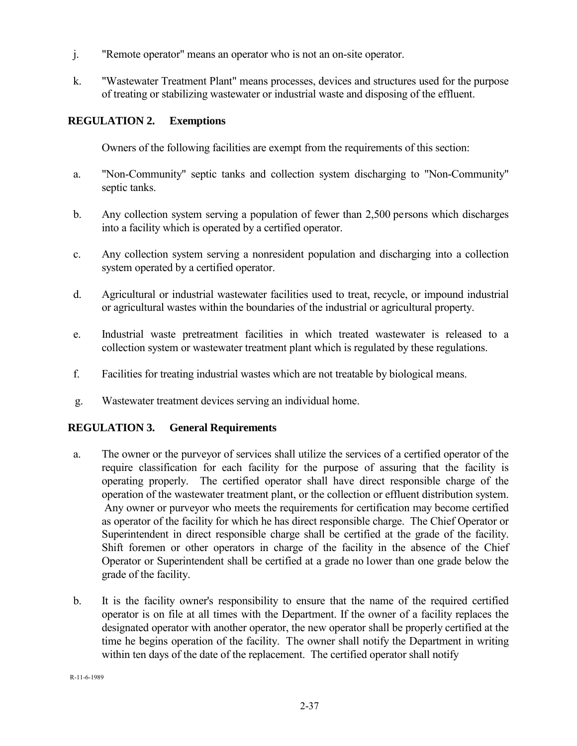- j. "Remote operator" means an operator who is not an on-site operator.
- k. "Wastewater Treatment Plant" means processes, devices and structures used for the purpose of treating or stabilizing wastewater or industrial waste and disposing of the effluent.

# **REGULATION 2. Exemptions**

Owners of the following facilities are exempt from the requirements of this section:

- a. "Non-Community" septic tanks and collection system discharging to "Non-Community" septic tanks.
- b. Any collection system serving a population of fewer than 2,500 persons which discharges into a facility which is operated by a certified operator.
- c. Any collection system serving a nonresident population and discharging into a collection system operated by a certified operator.
- d. Agricultural or industrial wastewater facilities used to treat, recycle, or impound industrial or agricultural wastes within the boundaries of the industrial or agricultural property.
- e. Industrial waste pretreatment facilities in which treated wastewater is released to a collection system or wastewater treatment plant which is regulated by these regulations.
- f. Facilities for treating industrial wastes which are not treatable by biological means.
- g. Wastewater treatment devices serving an individual home.

# **REGULATION 3. General Requirements**

- a. The owner or the purveyor of services shall utilize the services of a certified operator of the require classification for each facility for the purpose of assuring that the facility is operating properly. The certified operator shall have direct responsible charge of the operation of the wastewater treatment plant, or the collection or effluent distribution system. Any owner or purveyor who meets the requirements for certification may become certified as operator of the facility for which he has direct responsible charge. The Chief Operator or Superintendent in direct responsible charge shall be certified at the grade of the facility. Shift foremen or other operators in charge of the facility in the absence of the Chief Operator or Superintendent shall be certified at a grade no lower than one grade below the grade of the facility.
- b. It is the facility owner's responsibility to ensure that the name of the required certified operator is on file at all times with the Department. If the owner of a facility replaces the designated operator with another operator, the new operator shall be properly certified at the time he begins operation of the facility. The owner shall notify the Department in writing within ten days of the date of the replacement. The certified operator shall notify

R-11-6-1989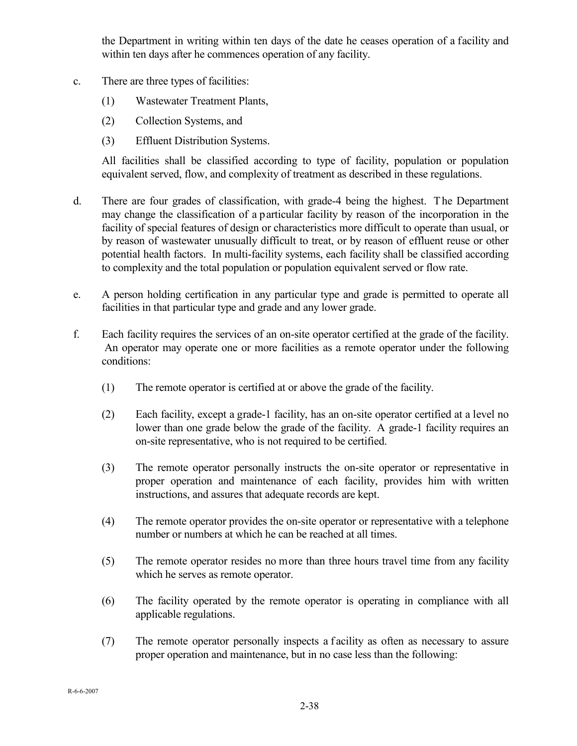the Department in writing within ten days of the date he ceases operation of a facility and within ten days after he commences operation of any facility.

- c. There are three types of facilities:
	- (1) Wastewater Treatment Plants,
	- (2) Collection Systems, and
	- (3) Effluent Distribution Systems.

All facilities shall be classified according to type of facility, population or population equivalent served, flow, and complexity of treatment as described in these regulations.

- d. There are four grades of classification, with grade-4 being the highest. T he Department may change the classification of a particular facility by reason of the incorporation in the facility of special features of design or characteristics more difficult to operate than usual, or by reason of wastewater unusually difficult to treat, or by reason of effluent reuse or other potential health factors. In multi-facility systems, each facility shall be classified according to complexity and the total population or population equivalent served or flow rate.
- e. A person holding certification in any particular type and grade is permitted to operate all facilities in that particular type and grade and any lower grade.
- f. Each facility requires the services of an on-site operator certified at the grade of the facility. An operator may operate one or more facilities as a remote operator under the following conditions:
	- (1) The remote operator is certified at or above the grade of the facility.
	- (2) Each facility, except a grade-1 facility, has an on-site operator certified at a level no lower than one grade below the grade of the facility. A grade-1 facility requires an on-site representative, who is not required to be certified.
	- (3) The remote operator personally instructs the on-site operator or representative in proper operation and maintenance of each facility, provides him with written instructions, and assures that adequate records are kept.
	- (4) The remote operator provides the on-site operator or representative with a telephone number or numbers at which he can be reached at all times.
	- (5) The remote operator resides no more than three hours travel time from any facility which he serves as remote operator.
	- (6) The facility operated by the remote operator is operating in compliance with all applicable regulations.
	- (7) The remote operator personally inspects a f acility as often as necessary to assure proper operation and maintenance, but in no case less than the following: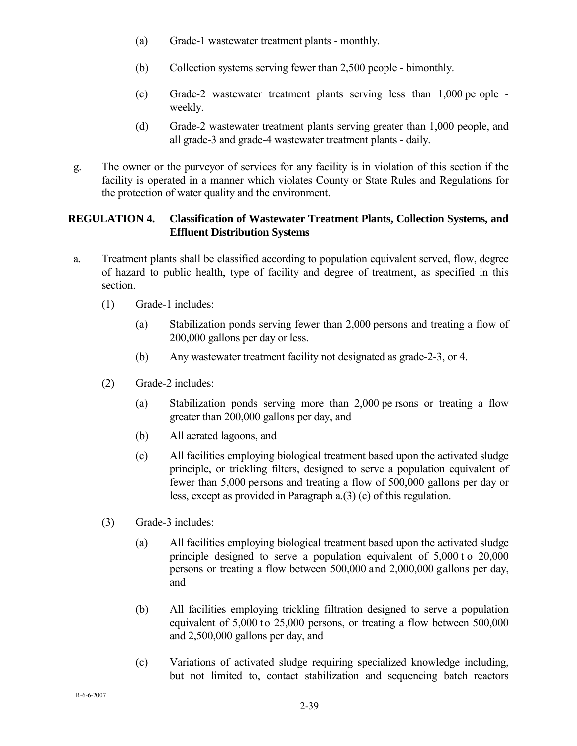- (a) Grade-1 wastewater treatment plants monthly.
- (b) Collection systems serving fewer than 2,500 people bimonthly.
- (c) Grade-2 wastewater treatment plants serving less than 1,000 pe ople weekly.
- (d) Grade-2 wastewater treatment plants serving greater than 1,000 people, and all grade-3 and grade-4 wastewater treatment plants - daily.
- g. The owner or the purveyor of services for any facility is in violation of this section if the facility is operated in a manner which violates County or State Rules and Regulations for the protection of water quality and the environment.

## **REGULATION 4. Classification of Wastewater Treatment Plants, Collection Systems, and Effluent Distribution Systems**

- a. Treatment plants shall be classified according to population equivalent served, flow, degree of hazard to public health, type of facility and degree of treatment, as specified in this section.
	- (1) Grade-1 includes:
		- (a) Stabilization ponds serving fewer than 2,000 persons and treating a flow of 200,000 gallons per day or less.
		- (b) Any wastewater treatment facility not designated as grade-2-3, or 4.
	- (2) Grade-2 includes:
		- (a) Stabilization ponds serving more than 2,000 pe rsons or treating a flow greater than 200,000 gallons per day, and
		- (b) All aerated lagoons, and
		- (c) All facilities employing biological treatment based upon the activated sludge principle, or trickling filters, designed to serve a population equivalent of fewer than 5,000 persons and treating a flow of 500,000 gallons per day or less, except as provided in Paragraph a.(3) (c) of this regulation.
	- (3) Grade-3 includes:
		- (a) All facilities employing biological treatment based upon the activated sludge principle designed to serve a population equivalent of 5,000 t o 20,000 persons or treating a flow between 500,000 and 2,000,000 gallons per day, and
		- (b) All facilities employing trickling filtration designed to serve a population equivalent of 5,000 to 25,000 persons, or treating a flow between 500,000 and 2,500,000 gallons per day, and
		- (c) Variations of activated sludge requiring specialized knowledge including, but not limited to, contact stabilization and sequencing batch reactors